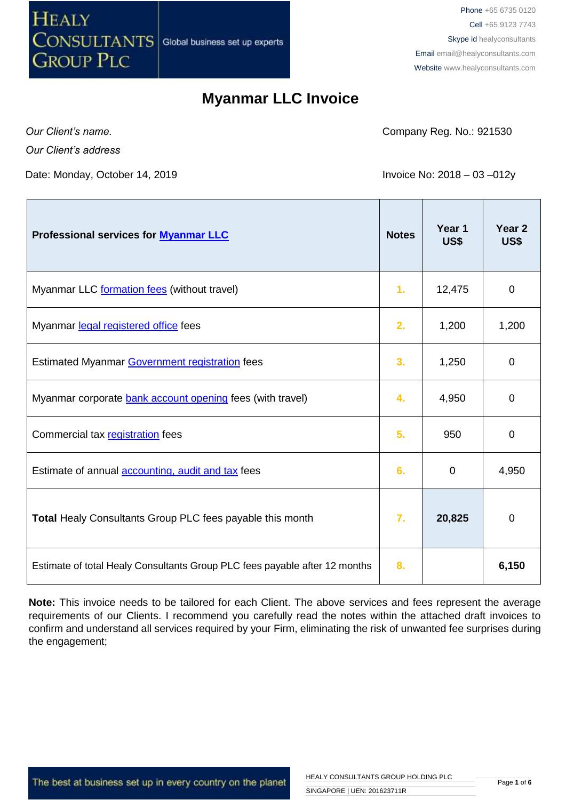

Phone +65 6735 0120 Cell +65 9123 7743 Skype id healyconsultants Email [email@healyconsultants.com](mailto:EMAIL@HEALYCONSULTANTS.COM) Website [www.healyconsultants.com](http://www.healyconsultants.com/)

#### **Myanmar LLC Invoice**

*Our Client's name.*

 $\mathbf{r}$ 

*Our Client's address*

Date: Monday, October 14, 2019 **Invoice No: 2018 – 03 –012y** 

Company Reg. No.: 921530

Τ

T

| Professional services for <b>Myanmar LLC</b>                               | <b>Notes</b> | Year 1<br>US\$ | Year <sub>2</sub><br>US\$ |
|----------------------------------------------------------------------------|--------------|----------------|---------------------------|
| Myanmar LLC formation fees (without travel)                                | 1.           | 12,475         | $\overline{0}$            |
| Myanmar legal registered office fees                                       | 2.           | 1,200          | 1,200                     |
| Estimated Myanmar Government registration fees                             | 3.           | 1,250          | $\overline{0}$            |
| Myanmar corporate bank account opening fees (with travel)                  | 4.           | 4,950          | 0                         |
| Commercial tax registration fees                                           | 5.           | 950            | $\overline{0}$            |
| Estimate of annual <b>accounting</b> , audit and tax fees                  | 6.           | 0              | 4,950                     |
| Total Healy Consultants Group PLC fees payable this month                  | 7.           | 20,825         | 0                         |
| Estimate of total Healy Consultants Group PLC fees payable after 12 months | 8.           |                | 6,150                     |

**Note:** This invoice needs to be tailored for each Client. The above services and fees represent the average requirements of our Clients. I recommend you carefully read the notes within the attached draft invoices to confirm and understand all services required by your Firm, eliminating the risk of unwanted fee surprises during the engagement;

The best at business set up in every country on the planet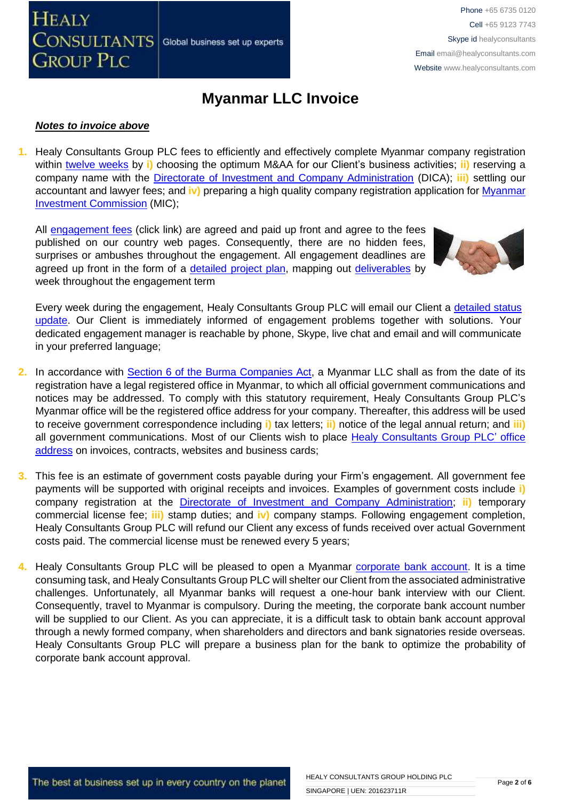## **Myanmar LLC Invoice**

#### *Notes to invoice above*

**1.** Healy Consultants Group PLC fees to efficiently and effectively complete Myanmar company registration within [twelve weeks](http://www.healyconsultants.com/myanmar-company-registration/incorporation-steps/) by **i)** choosing the optimum M&AA for our Client's business activities; **ii)** reserving a company name with the [Directorate of Investment and Company Administration](http://dica.gov.mm.x-aas.net/) (DICA); **iii)** settling our accountant and lawyer fees; and **iv)** preparing a high quality company registration application for [Myanmar](http://www.moi.gov.mm/?q=announcement/28/01/2014/id-1946)  [Investment Commission](http://www.moi.gov.mm/?q=announcement/28/01/2014/id-1946) (MIC);

All [engagement fees](http://www.healyconsultants.com/company-registration-fees/) (click link) are agreed and paid up front and agree to the fees published on our country web pages. Consequently, there are no hidden fees, surprises or ambushes throughout the engagement. All engagement deadlines are agreed up front in the form of a [detailed project plan,](http://www.healyconsultants.com/index-important-links/example-project-plan/) mapping out [deliverables](http://www.healyconsultants.com/deliverables-to-our-clients/) by week throughout the engagement term

Every week during the engagement, Healy Consultants Group PLC will email our Client a detailed status [update.](http://www.healyconsultants.com/index-important-links/weekly-engagement-status-email/) Our Client is immediately informed of engagement problems together with solutions. Your dedicated engagement manager is reachable by phone, Skype, live chat and email and will communicate in your preferred language;

- **2.** In accordance with [Section 6 of the Burma](http://www.thaiembassy.org/yangon/contents/files/business-20131115-152451-224205.pdf) Companies Act, a Myanmar LLC shall as from the date of its registration have a legal registered office in Myanmar, to which all official government communications and notices may be addressed. To comply with this statutory requirement, Healy Consultants Group PLC's Myanmar office will be the registered office address for your company. Thereafter, this address will be used to receive government correspondence including **i)** tax letters; **ii)** notice of the legal annual return; and **iii)**  all government communications. Most of our Clients wish to place [Healy Consultants Group PLC'](http://www.healyconsultants.com/corporate-outsourcing-services/company-secretary-and-legal-registered-office/) office [address](http://www.healyconsultants.com/corporate-outsourcing-services/company-secretary-and-legal-registered-office/) on invoices, contracts, websites and business cards;
- **3.** This fee is an estimate of government costs payable during your Firm's engagement. All government fee payments will be supported with original receipts and invoices. Examples of government costs include **i)** company registration at the [Directorate of Investment and Company Administration;](http://dica.x-aas.net/dica/) **ii)** temporary commercial license fee; **iii)** stamp duties; and **iv)** company stamps. Following engagement completion, Healy Consultants Group PLC will refund our Client any excess of funds received over actual Government costs paid. The commercial license must be renewed every 5 years;
- **4.** Healy Consultants Group PLC will be pleased to open a Myanmar [corporate bank account.](http://www.healyconsultants.com/myanmar-company-registration/formation-support-services/#banking) It is a time consuming task, and Healy Consultants Group PLC will shelter our Client from the associated administrative challenges. Unfortunately, all Myanmar banks will request a one-hour bank interview with our Client. Consequently, travel to Myanmar is compulsory. During the meeting, the corporate bank account number will be supplied to our Client. As you can appreciate, it is a difficult task to obtain bank account approval through a newly formed company, when shareholders and directors and bank signatories reside overseas. Healy Consultants Group PLC will prepare a business plan for the bank to optimize the probability of corporate bank account approval.

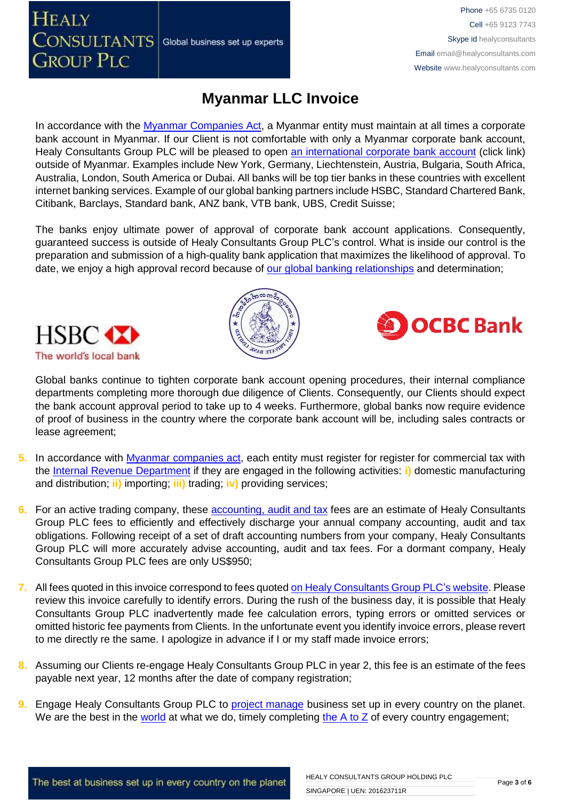In accordance with the [Myanmar Companies Act,](http://www.thaiembassy.org/yangon/contents/files/business-20131115-152451-224205.pdf) a Myanmar entity must maintain at all times a corporate

Global business set up experts

bank account in Myanmar. If our Client is not comfortable with only a Myanmar corporate bank account, Healy Consultants Group PLC will be pleased to open [an international corporate bank account](http://www.healyconsultants.com/international-banking/) (click link) outside of Myanmar. Examples include New York, Germany, Liechtenstein, Austria, Bulgaria, South Africa, Australia, London, South America or Dubai. All banks will be top tier banks in these countries with excellent internet banking services. Example of our global banking partners include HSBC, Standard Chartered Bank, Citibank, Barclays, Standard bank, ANZ bank, VTB bank, UBS, Credit Suisse;

**Myanmar LLC Invoice**

The banks enjoy ultimate power of approval of corporate bank account applications. Consequently, guaranteed success is outside of Healy Consultants Group PLC's control. What is inside our control is the preparation and submission of a high-quality bank application that maximizes the likelihood of approval. To date, we enjoy a high approval record because of [our global banking relationships](http://www.healyconsultants.com/international-banking/corporate-accounts/) and determination;



**HEALY** 

**CONSULTANTS** 

**GROUP PLC** 



Phone +65 6735 0120 Cell +65 9123 7743 Skype id healyconsultants

Email [email@healyconsultants.com](mailto:EMAIL@HEALYCONSULTANTS.COM) Website [www.healyconsultants.com](http://www.healyconsultants.com/)

Global banks continue to tighten corporate bank account opening procedures, their internal compliance departments completing more thorough due diligence of Clients. Consequently, our Clients should expect the bank account approval period to take up to 4 weeks. Furthermore, global banks now require evidence of proof of business in the country where the corporate bank account will be, including sales contracts or lease agreement;

- **5.** In accordance with [Myanmar companies act,](http://www.thaiembassy.org/yangon/contents/files/business-20131115-152451-224205.pdf) each entity must register for register for commercial tax with the [Internal Revenue Department](http://www.irdmyanmar.gov.mm/default.aspx) if they are engaged in the following activities: **i)** domestic manufacturing and distribution; **ii)** importing; **iii)** trading; **iv)** providing services;
- **6.** For an active trading company, these **accounting, audit and tax** fees are an estimate of Healy Consultants Group PLC fees to efficiently and effectively discharge your annual company accounting, audit and tax obligations. Following receipt of a set of draft accounting numbers from your company, Healy Consultants Group PLC will more accurately advise accounting, audit and tax fees. For a dormant company, Healy Consultants Group PLC fees are only US\$950;
- **7.** All fees quoted in this invoice correspond to fees quoted [on Healy Consultants Group PLC's](http://www.healyconsultants.com/company-registration-fees/) website. Please review this invoice carefully to identify errors. During the rush of the business day, it is possible that Healy Consultants Group PLC inadvertently made fee calculation errors, typing errors or omitted services or omitted historic fee payments from Clients. In the unfortunate event you identify invoice errors, please revert to me directly re the same. I apologize in advance if I or my staff made invoice errors;
- **8.** Assuming our Clients re-engage Healy Consultants Group PLC in year 2, this fee is an estimate of the fees payable next year, 12 months after the date of company registration;
- **9.** Engage Healy Consultants Group PLC to **project manage** business set up in every country on the planet. We are the best in the [world](http://www.healyconsultants.com/best-in-the-world/) at what we do, timely completing the  $A$  to  $Z$  of every country engagement;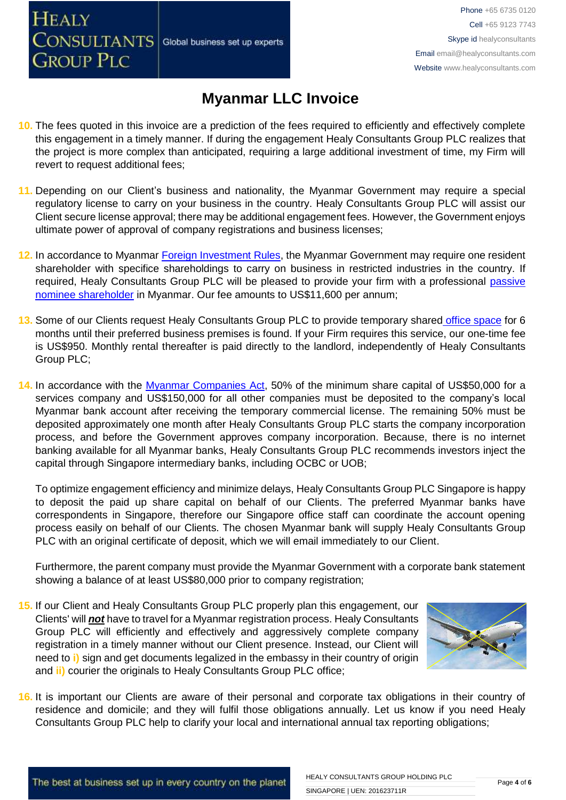# **Myanmar LLC Invoice**

- **10.** The fees quoted in this invoice are a prediction of the fees required to efficiently and effectively complete this engagement in a timely manner. If during the engagement Healy Consultants Group PLC realizes that the project is more complex than anticipated, requiring a large additional investment of time, my Firm will revert to request additional fees;
- **11.** Depending on our Client's business and nationality, the Myanmar Government may require a special regulatory license to carry on your business in the country. Healy Consultants Group PLC will assist our Client secure license approval; there may be additional engagement fees. However, the Government enjoys ultimate power of approval of company registrations and business licenses;
- **12.** In accordance to Myanmar [Foreign Investment Rules,](http://www.myanmarlegalservices.com/wp-content/uploads/2013/02/KCK-version-of-Official-FIL-Rules-doc-with-Schedules-07feb13.pdf) the Myanmar Government may require one resident shareholder with specifice shareholdings to carry on business in restricted industries in the country. If required, Healy Consultants Group PLC will be pleased to provide your firm with a professional [passive](http://www.healyconsultants.com/resident-director-services/)  [nominee shareholder](http://www.healyconsultants.com/resident-director-services/) in Myanmar. Our fee amounts to US\$11,600 per annum;
- **13.** Some of our Clients request Healy Consultants Group PLC to provide temporary shared [office space](http://www.healyconsultants.com/virtual-office/) for 6 months until their preferred business premises is found. If your Firm requires this service, our one-time fee is US\$950. Monthly rental thereafter is paid directly to the landlord, independently of Healy Consultants Group PLC;
- **14.** In accordance with the [Myanmar Companies Act,](http://www.thaiembassy.org/yangon/contents/files/business-20131115-152451-224205.pdf) 50% of the minimum share capital of US\$50,000 for a services company and US\$150,000 for all other companies must be deposited to the company's local Myanmar bank account after receiving the temporary commercial license. The remaining 50% must be deposited approximately one month after Healy Consultants Group PLC starts the company incorporation process, and before the Government approves company incorporation. Because, there is no internet banking available for all Myanmar banks, Healy Consultants Group PLC recommends investors inject the capital through Singapore intermediary banks, including OCBC or UOB;

To optimize engagement efficiency and minimize delays, Healy Consultants Group PLC Singapore is happy to deposit the paid up share capital on behalf of our Clients. The preferred Myanmar banks have correspondents in Singapore, therefore our Singapore office staff can coordinate the account opening process easily on behalf of our Clients. The chosen Myanmar bank will supply Healy Consultants Group PLC with an original certificate of deposit, which we will email immediately to our Client.

Furthermore, the parent company must provide the Myanmar Government with a corporate bank statement showing a balance of at least US\$80,000 prior to company registration;

**15.** If our Client and Healy Consultants Group PLC properly plan this engagement, our Clients' will *not* have to travel for a Myanmar registration process. Healy Consultants Group PLC will efficiently and effectively and aggressively complete company registration in a timely manner without our Client presence. Instead, our Client will need to **i)** sign and get documents legalized in the embassy in their country of origin and **ii)** courier the originals to Healy Consultants Group PLC office;



**16.** It is important our Clients are aware of their personal and corporate tax obligations in their country of residence and domicile; and they will fulfil those obligations annually. Let us know if you need Healy Consultants Group PLC help to clarify your local and international annual tax reporting obligations;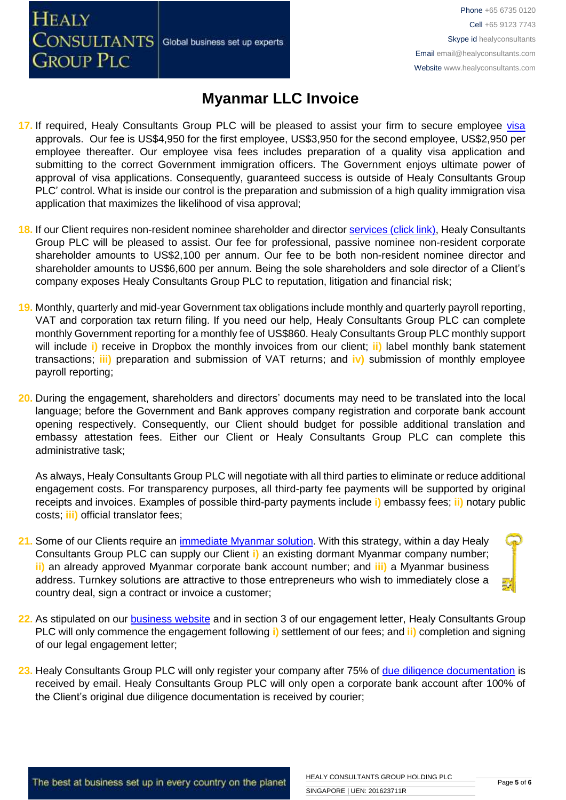Global business set up experts

**CONSULTANTS GROUP PLC** 

**HEALY** 

Phone +65 6735 0120 Cell +65 9123 7743 Skype id healyconsultants Email [email@healyconsultants.com](mailto:EMAIL@HEALYCONSULTANTS.COM) Website [www.healyconsultants.com](http://www.healyconsultants.com/)

### **Myanmar LLC Invoice**

- 17. If required, Healy Consultants Group PLC will be pleased to assist your firm to secure employee [visa](http://www.healyconsultants.com/myanmar-company-registration/formation-support-services/) approvals. Our fee is US\$4,950 for the first employee, US\$3,950 for the second employee, US\$2,950 per employee thereafter. Our employee visa fees includes preparation of a quality visa application and submitting to the correct Government immigration officers. The Government enjoys ultimate power of approval of visa applications. Consequently, guaranteed success is outside of Healy Consultants Group PLC' control. What is inside our control is the preparation and submission of a high quality immigration visa application that maximizes the likelihood of visa approval;
- 18. If our Client requires non-resident nominee shareholder and director services [\(click link\),](http://www.healyconsultants.com/corporate-outsourcing-services/nominee-shareholders-directors/) Healy Consultants Group PLC will be pleased to assist. Our fee for professional, passive nominee non-resident corporate shareholder amounts to US\$2,100 per annum. Our fee to be both non-resident nominee director and shareholder amounts to US\$6,600 per annum. Being the sole shareholders and sole director of a Client's company exposes Healy Consultants Group PLC to reputation, litigation and financial risk;
- **19.** Monthly, quarterly and mid-year Government tax obligations include monthly and quarterly payroll reporting, VAT and corporation tax return filing. If you need our help, Healy Consultants Group PLC can complete monthly Government reporting for a monthly fee of US\$860. Healy Consultants Group PLC monthly support will include **i)** receive in Dropbox the monthly invoices from our client; **ii)** label monthly bank statement transactions; **iii)** preparation and submission of VAT returns; and **iv)** submission of monthly employee payroll reporting;
- **20.** During the engagement, shareholders and directors' documents may need to be translated into the local language; before the Government and Bank approves company registration and corporate bank account opening respectively. Consequently, our Client should budget for possible additional translation and embassy attestation fees. Either our Client or Healy Consultants Group PLC can complete this administrative task;

As always, Healy Consultants Group PLC will negotiate with all third parties to eliminate or reduce additional engagement costs. For transparency purposes, all third-party fee payments will be supported by original receipts and invoices. Examples of possible third-party payments include **i)** embassy fees; **ii)** notary public costs; **iii)** official translator fees;

- **21.** Some of our Clients require an [immediate Myanmar](http://www.healyconsultants.com/turnkey-solutions/) solution. With this strategy, within a day Healy Consultants Group PLC can supply our Client **i)** an existing dormant Myanmar company number; **ii)** an already approved Myanmar corporate bank account number; and **iii)** a Myanmar business address. Turnkey solutions are attractive to those entrepreneurs who wish to immediately close a country deal, sign a contract or invoice a customer;
- **22.** As stipulated on our [business website](http://www.healyconsultants.com/) and in section 3 of our engagement letter, Healy Consultants Group PLC will only commence the engagement following **i)** settlement of our fees; and **ii)** completion and signing of our legal engagement letter;
- **23.** Healy Consultants Group PLC will only register your company after 75% of [due diligence documentation](http://www.healyconsultants.com/due-diligence/) is received by email. Healy Consultants Group PLC will only open a corporate bank account after 100% of the Client's original due diligence documentation is received by courier;